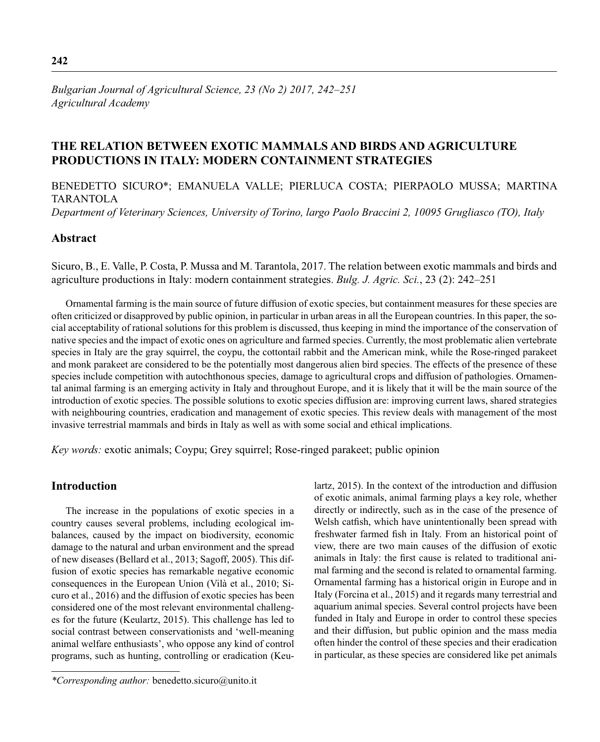# *Bulgarian Journal of Agricultural Science, 23 (No 2) 2017, 242–251 Agricultural Academy*

# **THE RELATION BETWEEN EXOTIC MAMMALS AND BIRDS AND AGRICULTURE PRODUCTIONS IN ITALY: MODERN CONTAINMENT STRATEGIES**

BENEDETTO SICURO\*; EMANUELA VALLE; PIERLUCA COSTA; PIERPAOLO MUSSA; MARTINA TARANTOLA

*Department of Veterinary Sciences, University of Torino, largo Paolo Braccini 2, 10095 Grugliasco (TO), Italy*

## **Abstract**

Sicuro, B., E. Valle, P. Costa, P. Mussa and M. Tarantola, 2017. The relation between exotic mammals and birds and agriculture productions in Italy: modern containment strategies. *Bulg. J. Agric. Sci.*, 23 (2): 242–251

Ornamental farming is the main source of future diffusion of exotic species, but containment measures for these species are often criticized or disapproved by public opinion, in particular in urban areas in all the European countries. In this paper, the social acceptability of rational solutions for this problem is discussed, thus keeping in mind the importance of the conservation of native species and the impact of exotic ones on agriculture and farmed species. Currently, the most problematic alien vertebrate species in Italy are the gray squirrel, the coypu, the cottontail rabbit and the American mink, while the Rose-ringed parakeet and monk parakeet are considered to be the potentially most dangerous alien bird species. The effects of the presence of these species include competition with autochthonous species, damage to agricultural crops and diffusion of pathologies. Ornamental animal farming is an emerging activity in Italy and throughout Europe, and it is likely that it will be the main source of the introduction of exotic species. The possible solutions to exotic species diffusion are: improving current laws, shared strategies with neighbouring countries, eradication and management of exotic species. This review deals with management of the most invasive terrestrial mammals and birds in Italy as well as with some social and ethical implications.

*Key words:* exotic animals; Coypu; Grey squirrel; Rose-ringed parakeet; public opinion

# **Introduction**

The increase in the populations of exotic species in a country causes several problems, including ecological imbalances, caused by the impact on biodiversity, economic damage to the natural and urban environment and the spread of new diseases (Bellard et al., 2013; Sagoff, 2005). This diffusion of exotic species has remarkable negative economic consequences in the European Union (Vilà et al., 2010; Sicuro et al., 2016) and the diffusion of exotic species has been considered one of the most relevant environmental challenges for the future (Keulartz, 2015). This challenge has led to social contrast between conservationists and 'well-meaning animal welfare enthusiasts', who oppose any kind of control programs, such as hunting, controlling or eradication (Keulartz, 2015). In the context of the introduction and diffusion of exotic animals, animal farming plays a key role, whether directly or indirectly, such as in the case of the presence of Welsh catfish, which have unintentionally been spread with freshwater farmed fish in Italy. From an historical point of view, there are two main causes of the diffusion of exotic animals in Italy: the first cause is related to traditional animal farming and the second is related to ornamental farming. Ornamental farming has a historical origin in Europe and in Italy (Forcina et al., 2015) and it regards many terrestrial and aquarium animal species. Several control projects have been funded in Italy and Europe in order to control these species and their diffusion, but public opinion and the mass media often hinder the control of these species and their eradication in particular, as these species are considered like pet animals

*<sup>\*</sup>Corresponding author:* benedetto.sicuro@unito.it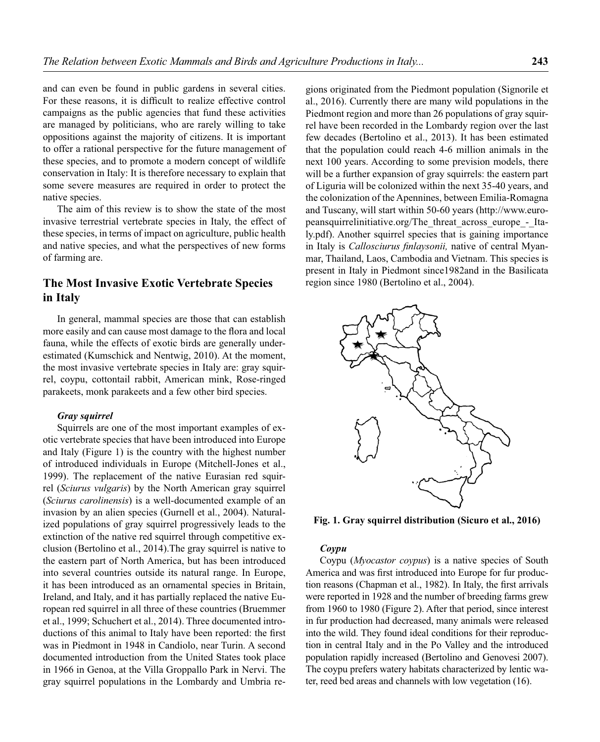and can even be found in public gardens in several cities. For these reasons, it is difficult to realize effective control campaigns as the public agencies that fund these activities are managed by politicians, who are rarely willing to take oppositions against the majority of citizens. It is important to offer a rational perspective for the future management of these species, and to promote a modern concept of wildlife conservation in Italy: It is therefore necessary to explain that some severe measures are required in order to protect the native species.

The aim of this review is to show the state of the most invasive terrestrial vertebrate species in Italy, the effect of these species, in terms of impact on agriculture, public health and native species, and what the perspectives of new forms of farming are.

# **The Most Invasive Exotic Vertebrate Species in Italy**

In general, mammal species are those that can establish more easily and can cause most damage to the flora and local fauna, while the effects of exotic birds are generally underestimated (Kumschick and Nentwig, 2010). At the moment, the most invasive vertebrate species in Italy are: gray squirrel, coypu, cottontail rabbit, American mink, Rose-ringed parakeets, monk parakeets and a few other bird species.

## *Gray squirrel*

Squirrels are one of the most important examples of exotic vertebrate species that have been introduced into Europe and Italy (Figure 1) is the country with the highest number of introduced individuals in Europe (Mitchell-Jones et al., 1999). The replacement of the native Eurasian red squirrel (*Sciurus vulgaris*) by the North American gray squirrel (*Sciurus carolinensis*) is a well-documented example of an invasion by an alien species (Gurnell et al., 2004). Naturalized populations of gray squirrel progressively leads to the extinction of the native red squirrel through competitive exclusion (Bertolino et al., 2014).The gray squirrel is native to the eastern part of North America, but has been introduced into several countries outside its natural range. In Europe, it has been introduced as an ornamental species in Britain, Ireland, and Italy, and it has partially replaced the native European red squirrel in all three of these countries (Bruemmer et al., 1999; Schuchert et al., 2014). Three documented introductions of this animal to Italy have been reported: the first was in Piedmont in 1948 in Candiolo, near Turin. A second documented introduction from the United States took place in 1966 in Genoa, at the Villa Groppallo Park in Nervi. The gray squirrel populations in the Lombardy and Umbria re-

gions originated from the Piedmont population (Signorile et al., 2016). Currently there are many wild populations in the Piedmont region and more than 26 populations of gray squirrel have been recorded in the Lombardy region over the last few decades (Bertolino et al., 2013). It has been estimated that the population could reach 4-6 million animals in the next 100 years. According to some prevision models, there will be a further expansion of gray squirrels: the eastern part of Liguria will be colonized within the next 35-40 years, and the colonization of the Apennines, between Emilia-Romagna and Tuscany, will start within 50-60 years (http://www.europeansquirrelinitiative.org/The\_threat\_across\_europe\_-\_Italy.pdf). Another squirrel species that is gaining importance in Italy is *Callosciurus finlaysonii*, native of central Myanmar, Thailand, Laos, Cambodia and Vietnam. This species is present in Italy in Piedmont since1982and in the Basilicata region since 1980 (Bertolino et al., 2004).



**Fig. 1. Gray squirrel distribution (Sicuro et al., 2016)**

#### *Coypu*

Coypu (*Myocastor coypus*) is a native species of South America and was first introduced into Europe for fur production reasons (Chapman et al., 1982). In Italy, the first arrivals were reported in 1928 and the number of breeding farms grew from 1960 to 1980 (Figure 2). After that period, since interest in fur production had decreased, many animals were released into the wild. They found ideal conditions for their reproduction in central Italy and in the Po Valley and the introduced population rapidly increased (Bertolino and Genovesi 2007). The coypu prefers watery habitats characterized by lentic water, reed bed areas and channels with low vegetation (16).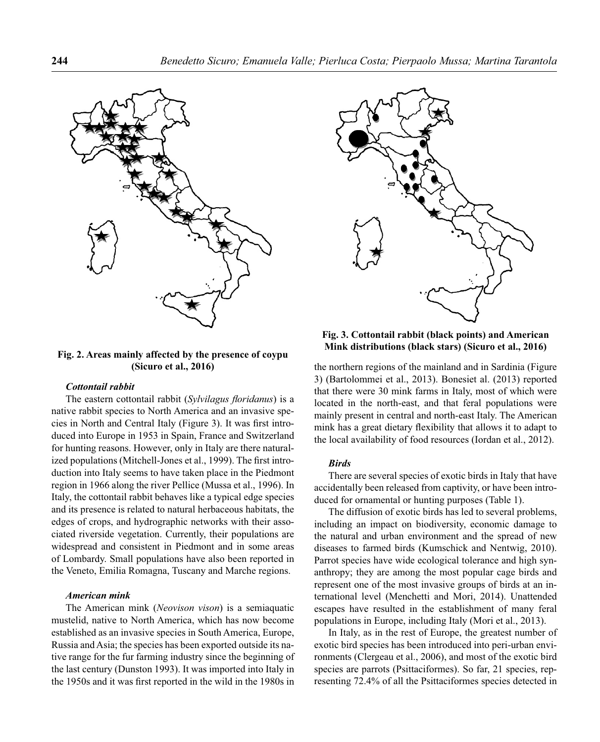

## **Fig. 2. Areas mainly affected by the presence of coypu (Sicuro et al., 2016)**

#### *Cottontail rabbit*

The eastern cottontail rabbit (*Sylvilagus floridanus*) is a native rabbit species to North America and an invasive species in North and Central Italy (Figure 3). It was first introduced into Europe in 1953 in Spain, France and Switzerland for hunting reasons. However, only in Italy are there naturalized populations (Mitchell-Jones et al., 1999). The first introduction into Italy seems to have taken place in the Piedmont region in 1966 along the river Pellice (Mussa et al., 1996). In Italy, the cottontail rabbit behaves like a typical edge species and its presence is related to natural herbaceous habitats, the edges of crops, and hydrographic networks with their associated riverside vegetation. Currently, their populations are widespread and consistent in Piedmont and in some areas of Lombardy. Small populations have also been reported in the Veneto, Emilia Romagna, Tuscany and Marche regions.

## *American mink*

The American mink (*Neovison vison*) is a semiaquatic mustelid, native to North America, which has now become established as an invasive species in South America, Europe, Russia and Asia; the species has been exported outside its native range for the fur farming industry since the beginning of the last century (Dunston 1993). It was imported into Italy in the 1950s and it was first reported in the wild in the 1980s in



**Fig. 3. Cottontail rabbit (black points) and American Mink distributions (black stars) (Sicuro et al., 2016)**

the northern regions of the mainland and in Sardinia (Figure 3) (Bartolommei et al., 2013). Bonesiet al. (2013) reported that there were 30 mink farms in Italy, most of which were located in the north-east, and that feral populations were mainly present in central and north-east Italy. The American mink has a great dietary flexibility that allows it to adapt to the local availability of food resources (Iordan et al., 2012).

## *Birds*

There are several species of exotic birds in Italy that have accidentally been released from captivity, or have been introduced for ornamental or hunting purposes (Table 1).

The diffusion of exotic birds has led to several problems, including an impact on biodiversity, economic damage to the natural and urban environment and the spread of new diseases to farmed birds (Kumschick and Nentwig, 2010). Parrot species have wide ecological tolerance and high synanthropy; they are among the most popular cage birds and represent one of the most invasive groups of birds at an international level (Menchetti and Mori, 2014). Unattended escapes have resulted in the establishment of many feral populations in Europe, including Italy (Mori et al., 2013).

In Italy, as in the rest of Europe, the greatest number of exotic bird species has been introduced into peri-urban environments (Clergeau et al., 2006), and most of the exotic bird species are parrots (Psittaciformes). So far, 21 species, representing 72.4% of all the Psittaciformes species detected in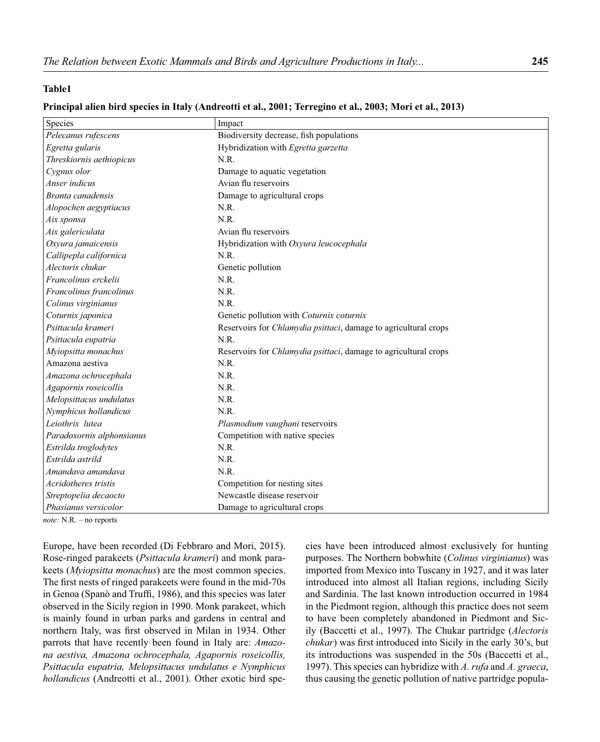## **Table1**

# **Principal alien bird species in Italy (Andreotti et al., 2001; Terregino et al., 2003; Mori et al., 2013)**

| Pelecanus rufescens<br>Biodiversity decrease, fish populations<br>Hybridization with Egretta garzetta<br>Egretta gularis<br>Threskiornis aethiopicus<br>N.R.<br>Cygnus olor<br>Damage to aquatic vegetation<br>Anser indicus<br>Avian flu reservoirs<br>Branta canadensis<br>Damage to agricultural crops<br>N.R.<br>Alopochen aegyptiacus<br>N.R.<br>Aix sponsa<br>Avian flu reservoirs<br>Aix galericulata<br>Oxyura jamaicensis<br>Hybridization with Oxyura leucocephala<br>Callipepla californica<br>N.R.<br>Alectoris chukar<br>Genetic pollution<br>Francolinus erckelii<br>N.R.<br>N.R.<br>Francolinus francolinus<br>N.R.<br>Colinus virginianus<br>Coturnix japonica<br>Genetic pollution with Coturnix coturnix<br>Psittacula krameri<br>Reservoirs for <i>Chlamydia psittaci</i> , damage to agricultural crops<br>Psittacula eupatria<br>N.R.<br>Myiopsitta monachus<br>Reservoirs for Chlamydia psittaci, damage to agricultural crops<br>N.R.<br>Amazona aestiva<br>Amazona ochrocephala<br>N.R.<br>Agapornis roseicollis<br>N.R.<br>N.R.<br>Melopsittacus undulatus<br>N.R.<br>Nymphicus hollandicus<br>Leiothrix lutea<br>Plasmodium vaughani reservoirs<br>Competition with native species<br>Paradoxornis alphonsianus<br>N.R.<br>Estrilda troglodytes<br>Estrilda astrild<br>N.R.<br>Amandava amandava<br>N.R.<br>Acridotheres tristis<br>Competition for nesting sites<br>Newcastle disease reservoir<br>Streptopelia decaocto | Species              | Impact                       |
|-----------------------------------------------------------------------------------------------------------------------------------------------------------------------------------------------------------------------------------------------------------------------------------------------------------------------------------------------------------------------------------------------------------------------------------------------------------------------------------------------------------------------------------------------------------------------------------------------------------------------------------------------------------------------------------------------------------------------------------------------------------------------------------------------------------------------------------------------------------------------------------------------------------------------------------------------------------------------------------------------------------------------------------------------------------------------------------------------------------------------------------------------------------------------------------------------------------------------------------------------------------------------------------------------------------------------------------------------------------------------------------------------------------------------------------------------------|----------------------|------------------------------|
|                                                                                                                                                                                                                                                                                                                                                                                                                                                                                                                                                                                                                                                                                                                                                                                                                                                                                                                                                                                                                                                                                                                                                                                                                                                                                                                                                                                                                                                     |                      |                              |
|                                                                                                                                                                                                                                                                                                                                                                                                                                                                                                                                                                                                                                                                                                                                                                                                                                                                                                                                                                                                                                                                                                                                                                                                                                                                                                                                                                                                                                                     |                      |                              |
|                                                                                                                                                                                                                                                                                                                                                                                                                                                                                                                                                                                                                                                                                                                                                                                                                                                                                                                                                                                                                                                                                                                                                                                                                                                                                                                                                                                                                                                     |                      |                              |
|                                                                                                                                                                                                                                                                                                                                                                                                                                                                                                                                                                                                                                                                                                                                                                                                                                                                                                                                                                                                                                                                                                                                                                                                                                                                                                                                                                                                                                                     |                      |                              |
|                                                                                                                                                                                                                                                                                                                                                                                                                                                                                                                                                                                                                                                                                                                                                                                                                                                                                                                                                                                                                                                                                                                                                                                                                                                                                                                                                                                                                                                     |                      |                              |
|                                                                                                                                                                                                                                                                                                                                                                                                                                                                                                                                                                                                                                                                                                                                                                                                                                                                                                                                                                                                                                                                                                                                                                                                                                                                                                                                                                                                                                                     |                      |                              |
|                                                                                                                                                                                                                                                                                                                                                                                                                                                                                                                                                                                                                                                                                                                                                                                                                                                                                                                                                                                                                                                                                                                                                                                                                                                                                                                                                                                                                                                     |                      |                              |
|                                                                                                                                                                                                                                                                                                                                                                                                                                                                                                                                                                                                                                                                                                                                                                                                                                                                                                                                                                                                                                                                                                                                                                                                                                                                                                                                                                                                                                                     |                      |                              |
|                                                                                                                                                                                                                                                                                                                                                                                                                                                                                                                                                                                                                                                                                                                                                                                                                                                                                                                                                                                                                                                                                                                                                                                                                                                                                                                                                                                                                                                     |                      |                              |
|                                                                                                                                                                                                                                                                                                                                                                                                                                                                                                                                                                                                                                                                                                                                                                                                                                                                                                                                                                                                                                                                                                                                                                                                                                                                                                                                                                                                                                                     |                      |                              |
|                                                                                                                                                                                                                                                                                                                                                                                                                                                                                                                                                                                                                                                                                                                                                                                                                                                                                                                                                                                                                                                                                                                                                                                                                                                                                                                                                                                                                                                     |                      |                              |
|                                                                                                                                                                                                                                                                                                                                                                                                                                                                                                                                                                                                                                                                                                                                                                                                                                                                                                                                                                                                                                                                                                                                                                                                                                                                                                                                                                                                                                                     |                      |                              |
|                                                                                                                                                                                                                                                                                                                                                                                                                                                                                                                                                                                                                                                                                                                                                                                                                                                                                                                                                                                                                                                                                                                                                                                                                                                                                                                                                                                                                                                     |                      |                              |
|                                                                                                                                                                                                                                                                                                                                                                                                                                                                                                                                                                                                                                                                                                                                                                                                                                                                                                                                                                                                                                                                                                                                                                                                                                                                                                                                                                                                                                                     |                      |                              |
|                                                                                                                                                                                                                                                                                                                                                                                                                                                                                                                                                                                                                                                                                                                                                                                                                                                                                                                                                                                                                                                                                                                                                                                                                                                                                                                                                                                                                                                     |                      |                              |
|                                                                                                                                                                                                                                                                                                                                                                                                                                                                                                                                                                                                                                                                                                                                                                                                                                                                                                                                                                                                                                                                                                                                                                                                                                                                                                                                                                                                                                                     |                      |                              |
|                                                                                                                                                                                                                                                                                                                                                                                                                                                                                                                                                                                                                                                                                                                                                                                                                                                                                                                                                                                                                                                                                                                                                                                                                                                                                                                                                                                                                                                     |                      |                              |
|                                                                                                                                                                                                                                                                                                                                                                                                                                                                                                                                                                                                                                                                                                                                                                                                                                                                                                                                                                                                                                                                                                                                                                                                                                                                                                                                                                                                                                                     |                      |                              |
|                                                                                                                                                                                                                                                                                                                                                                                                                                                                                                                                                                                                                                                                                                                                                                                                                                                                                                                                                                                                                                                                                                                                                                                                                                                                                                                                                                                                                                                     |                      |                              |
|                                                                                                                                                                                                                                                                                                                                                                                                                                                                                                                                                                                                                                                                                                                                                                                                                                                                                                                                                                                                                                                                                                                                                                                                                                                                                                                                                                                                                                                     |                      |                              |
|                                                                                                                                                                                                                                                                                                                                                                                                                                                                                                                                                                                                                                                                                                                                                                                                                                                                                                                                                                                                                                                                                                                                                                                                                                                                                                                                                                                                                                                     |                      |                              |
|                                                                                                                                                                                                                                                                                                                                                                                                                                                                                                                                                                                                                                                                                                                                                                                                                                                                                                                                                                                                                                                                                                                                                                                                                                                                                                                                                                                                                                                     |                      |                              |
|                                                                                                                                                                                                                                                                                                                                                                                                                                                                                                                                                                                                                                                                                                                                                                                                                                                                                                                                                                                                                                                                                                                                                                                                                                                                                                                                                                                                                                                     |                      |                              |
|                                                                                                                                                                                                                                                                                                                                                                                                                                                                                                                                                                                                                                                                                                                                                                                                                                                                                                                                                                                                                                                                                                                                                                                                                                                                                                                                                                                                                                                     |                      |                              |
|                                                                                                                                                                                                                                                                                                                                                                                                                                                                                                                                                                                                                                                                                                                                                                                                                                                                                                                                                                                                                                                                                                                                                                                                                                                                                                                                                                                                                                                     |                      |                              |
|                                                                                                                                                                                                                                                                                                                                                                                                                                                                                                                                                                                                                                                                                                                                                                                                                                                                                                                                                                                                                                                                                                                                                                                                                                                                                                                                                                                                                                                     |                      |                              |
|                                                                                                                                                                                                                                                                                                                                                                                                                                                                                                                                                                                                                                                                                                                                                                                                                                                                                                                                                                                                                                                                                                                                                                                                                                                                                                                                                                                                                                                     |                      |                              |
|                                                                                                                                                                                                                                                                                                                                                                                                                                                                                                                                                                                                                                                                                                                                                                                                                                                                                                                                                                                                                                                                                                                                                                                                                                                                                                                                                                                                                                                     |                      |                              |
|                                                                                                                                                                                                                                                                                                                                                                                                                                                                                                                                                                                                                                                                                                                                                                                                                                                                                                                                                                                                                                                                                                                                                                                                                                                                                                                                                                                                                                                     |                      |                              |
|                                                                                                                                                                                                                                                                                                                                                                                                                                                                                                                                                                                                                                                                                                                                                                                                                                                                                                                                                                                                                                                                                                                                                                                                                                                                                                                                                                                                                                                     |                      |                              |
|                                                                                                                                                                                                                                                                                                                                                                                                                                                                                                                                                                                                                                                                                                                                                                                                                                                                                                                                                                                                                                                                                                                                                                                                                                                                                                                                                                                                                                                     |                      |                              |
|                                                                                                                                                                                                                                                                                                                                                                                                                                                                                                                                                                                                                                                                                                                                                                                                                                                                                                                                                                                                                                                                                                                                                                                                                                                                                                                                                                                                                                                     | Phasianus versicolor | Damage to agricultural crops |

*note:* N.R. – no reports

Europe, have been recorded (Di Febbraro and Mori, 2015). Rose-ringed parakeets (*Psittacula krameri*) and monk parakeets (*Myiopsitta monachus*) are the most common species. The first nests of ringed parakeets were found in the mid-70s in Genoa (Spanò and Truffi, 1986), and this species was later observed in the Sicily region in 1990. Monk parakeet, which is mainly found in urban parks and gardens in central and northern Italy, was first observed in Milan in 1934. Other parrots that have recently been found in Italy are: *Amazona aestiva, Amazona ochrocephala, Agapornis roseicollis, Psittacula eupatria, Melopsittacus undulatus e Nymphicus hollandicus* (Andreotti et al., 2001). Other exotic bird spe-

cies have been introduced almost exclusively for hunting purposes. The Northern bobwhite (*Colinus virginianus*) was imported from Mexico into Tuscany in 1927, and it was later introduced into almost all Italian regions, including Sicily and Sardinia. The last known introduction occurred in 1984 in the Piedmont region, although this practice does not seem to have been completely abandoned in Piedmont and Sicily (Baccetti et al., 1997). The Chukar partridge (*Alectoris chukar*) was first introduced into Sicily in the early 30's, but its introductions was suspended in the 50s (Baccetti et al., 1997). This species can hybridize with *A. rufa* and *A. graeca*, thus causing the genetic pollution of native partridge popula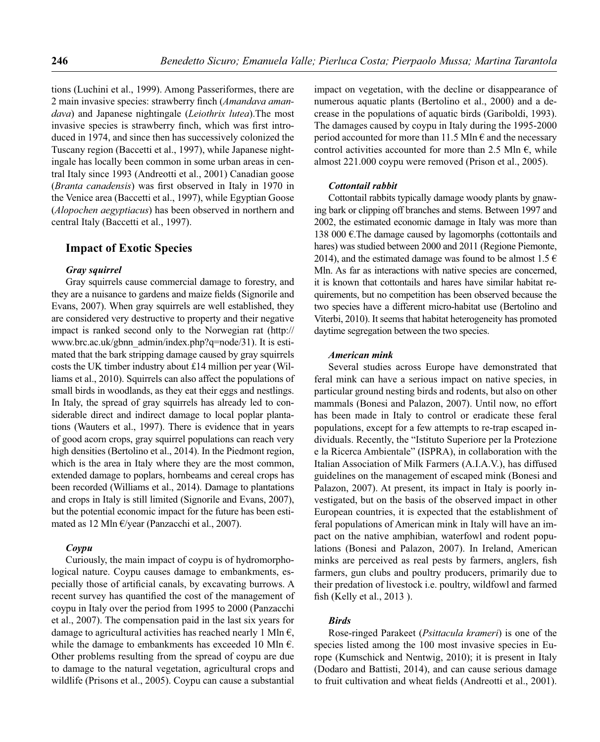tions (Luchini et al., 1999). Among Passeriformes, there are 2 main invasive species: strawberry finch (*Amandava amandava*) and Japanese nightingale (*Leiothrix lutea*).The most invasive species is strawberry finch, which was first introduced in 1974, and since then has successively colonized the Tuscany region (Baccetti et al., 1997), while Japanese nightingale has locally been common in some urban areas in central Italy since 1993 (Andreotti et al., 2001) Canadian goose (*Branta canadensis*) was first observed in Italy in 1970 in the Venice area (Baccetti et al., 1997), while Egyptian Goose (*Alopochen aegyptiacus*) has been observed in northern and central Italy (Baccetti et al., 1997).

## **Impact of Exotic Species**

#### *Gray squirrel*

Gray squirrels cause commercial damage to forestry, and they are a nuisance to gardens and maize fields (Signorile and Evans, 2007). When gray squirrels are well established, they are considered very destructive to property and their negative impact is ranked second only to the Norwegian rat (http:// www.brc.ac.uk/gbnn\_admin/index.php?q=node/31). It is estimated that the bark stripping damage caused by gray squirrels costs the UK timber industry about £14 million per year (Williams et al., 2010). Squirrels can also affect the populations of small birds in woodlands, as they eat their eggs and nestlings. In Italy, the spread of gray squirrels has already led to considerable direct and indirect damage to local poplar plantations (Wauters et al., 1997). There is evidence that in years of good acorn crops, gray squirrel populations can reach very high densities (Bertolino et al., 2014). In the Piedmont region, which is the area in Italy where they are the most common, extended damage to poplars, hornbeams and cereal crops has been recorded (Williams et al., 2014). Damage to plantations and crops in Italy is still limited (Signorile and Evans, 2007), but the potential economic impact for the future has been estimated as 12 Mln €/year (Panzacchi et al., 2007).

## *Coypu*

Curiously, the main impact of coypu is of hydromorphological nature. Coypu causes damage to embankments, especially those of artificial canals, by excavating burrows. A recent survey has quantified the cost of the management of coypu in Italy over the period from 1995 to 2000 (Panzacchi et al., 2007). The compensation paid in the last six years for damage to agricultural activities has reached nearly 1 Mln  $\epsilon$ , while the damage to embankments has exceeded 10 Mln  $\epsilon$ . Other problems resulting from the spread of coypu are due to damage to the natural vegetation, agricultural crops and wildlife (Prisons et al., 2005). Coypu can cause a substantial impact on vegetation, with the decline or disappearance of numerous aquatic plants (Bertolino et al., 2000) and a decrease in the populations of aquatic birds (Gariboldi, 1993). The damages caused by coypu in Italy during the 1995-2000 period accounted for more than 11.5 Mln  $\epsilon$  and the necessary control activities accounted for more than 2.5 Mln  $\epsilon$ , while almost 221.000 coypu were removed (Prison et al., 2005).

#### *Cottontail rabbit*

Cottontail rabbits typically damage woody plants by gnawing bark or clipping off branches and stems. Between 1997 and 2002, the estimated economic damage in Italy was more than 138 000 €. The damage caused by lagomorphs (cottontails and hares) was studied between 2000 and 2011 (Regione Piemonte, 2014), and the estimated damage was found to be almost 1.5  $\epsilon$ Mln. As far as interactions with native species are concerned, it is known that cottontails and hares have similar habitat requirements, but no competition has been observed because the two species have a different micro-habitat use (Bertolino and Viterbi, 2010). It seems that habitat heterogeneity has promoted daytime segregation between the two species.

#### *American mink*

Several studies across Europe have demonstrated that feral mink can have a serious impact on native species, in particular ground nesting birds and rodents, but also on other mammals (Bonesi and Palazon, 2007). Until now, no effort has been made in Italy to control or eradicate these feral populations, except for a few attempts to re-trap escaped individuals. Recently, the "Istituto Superiore per la Protezione e la Ricerca Ambientale" (ISPRA), in collaboration with the Italian Association of Milk Farmers (A.I.A.V.), has diffused guidelines on the management of escaped mink (Bonesi and Palazon, 2007). At present, its impact in Italy is poorly investigated, but on the basis of the observed impact in other European countries, it is expected that the establishment of feral populations of American mink in Italy will have an impact on the native amphibian, waterfowl and rodent populations (Bonesi and Palazon, 2007). In Ireland, American minks are perceived as real pests by farmers, anglers, fish farmers, gun clubs and poultry producers, primarily due to their predation of livestock i.e. poultry, wildfowl and farmed fish (Kelly et al., 2013).

## *Birds*

Rose-ringed Parakeet (*Psittacula krameri*) is one of the species listed among the 100 most invasive species in Europe (Kumschick and Nentwig, 2010); it is present in Italy (Dodaro and Battisti, 2014), and can cause serious damage to fruit cultivation and wheat fields (Andreotti et al., 2001).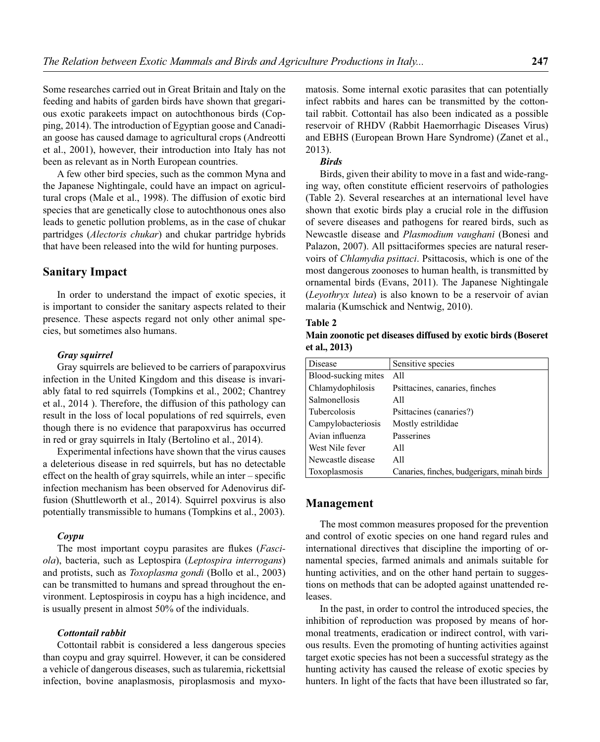Some researches carried out in Great Britain and Italy on the feeding and habits of garden birds have shown that gregarious exotic parakeets impact on autochthonous birds (Copping, 2014). The introduction of Egyptian goose and Canadian goose has caused damage to agricultural crops (Andreotti et al., 2001), however, their introduction into Italy has not been as relevant as in North European countries.

A few other bird species, such as the common Myna and the Japanese Nightingale, could have an impact on agricultural crops (Male et al., 1998). The diffusion of exotic bird species that are genetically close to autochthonous ones also leads to genetic pollution problems, as in the case of chukar partridges (*Alectoris chukar*) and chukar partridge hybrids that have been released into the wild for hunting purposes.

## **Sanitary Impact**

In order to understand the impact of exotic species, it is important to consider the sanitary aspects related to their presence. These aspects regard not only other animal species, but sometimes also humans.

#### *Gray squirrel*

Gray squirrels are believed to be carriers of parapoxvirus infection in the United Kingdom and this disease is invariably fatal to red squirrels (Tompkins et al., 2002; Chantrey et al., 2014 ). Therefore, the diffusion of this pathology can result in the loss of local populations of red squirrels, even though there is no evidence that parapoxvirus has occurred in red or gray squirrels in Italy (Bertolino et al., 2014).

Experimental infections have shown that the virus causes a deleterious disease in red squirrels, but has no detectable effect on the health of gray squirrels, while an inter – specific infection mechanism has been observed for Adenovirus diffusion (Shuttleworth et al., 2014). Squirrel poxvirus is also potentially transmissible to humans (Tompkins et al., 2003).

#### *Coypu*

The most important coypu parasites are flukes (*Fasciola*), bacteria, such as Leptospira (*Leptospira interrogans*) and protists, such as *Toxoplasma gondi* (Bollo et al., 2003) can be transmitted to humans and spread throughout the environment. Leptospirosis in coypu has a high incidence, and is usually present in almost 50% of the individuals.

## *Cottontail rabbit*

Cottontail rabbit is considered a less dangerous species than coypu and gray squirrel. However, it can be considered a vehicle of dangerous diseases, such as tularemia, rickettsial infection, bovine anaplasmosis, piroplasmosis and myxo-

matosis. Some internal exotic parasites that can potentially infect rabbits and hares can be transmitted by the cottontail rabbit. Cottontail has also been indicated as a possible reservoir of RHDV (Rabbit Haemorrhagic Diseases Virus) and EBHS (European Brown Hare Syndrome) (Zanet et al., 2013).

#### *Birds*

Birds, given their ability to move in a fast and wide-ranging way, often constitute efficient reservoirs of pathologies (Table 2). Several researches at an international level have shown that exotic birds play a crucial role in the diffusion of severe diseases and pathogens for reared birds, such as Newcastle disease and *Plasmodium vaughani* (Bonesi and Palazon, 2007). All psittaciformes species are natural reservoirs of *Chlamydia psittaci*. Psittacosis, which is one of the most dangerous zoonoses to human health, is transmitted by ornamental birds (Evans, 2011). The Japanese Nightingale (*Leyothryx lutea*) is also known to be a reservoir of avian malaria (Kumschick and Nentwig, 2010).

#### **Table 2**

**Main zoonotic pet diseases diffused by exotic birds (Boseret et al., 2013)** 

| Disease             | Sensitive species                           |
|---------------------|---------------------------------------------|
| Blood-sucking mites | All                                         |
| Chlamydophilosis    | Psittacines, canaries, finches              |
| Salmonellosis       | All                                         |
| <b>Tubercolosis</b> | Psittacines (canaries?)                     |
| Campylobacteriosis  | Mostly estrildidae                          |
| Avian influenza     | Passerines                                  |
| West Nile fever     | A11                                         |
| Newcastle disease   | All                                         |
| Toxoplasmosis       | Canaries, finches, budgerigars, minah birds |

## **Management**

The most common measures proposed for the prevention and control of exotic species on one hand regard rules and international directives that discipline the importing of ornamental species, farmed animals and animals suitable for hunting activities, and on the other hand pertain to suggestions on methods that can be adopted against unattended releases.

In the past, in order to control the introduced species, the inhibition of reproduction was proposed by means of hormonal treatments, eradication or indirect control, with various results. Even the promoting of hunting activities against target exotic species has not been a successful strategy as the hunting activity has caused the release of exotic species by hunters. In light of the facts that have been illustrated so far,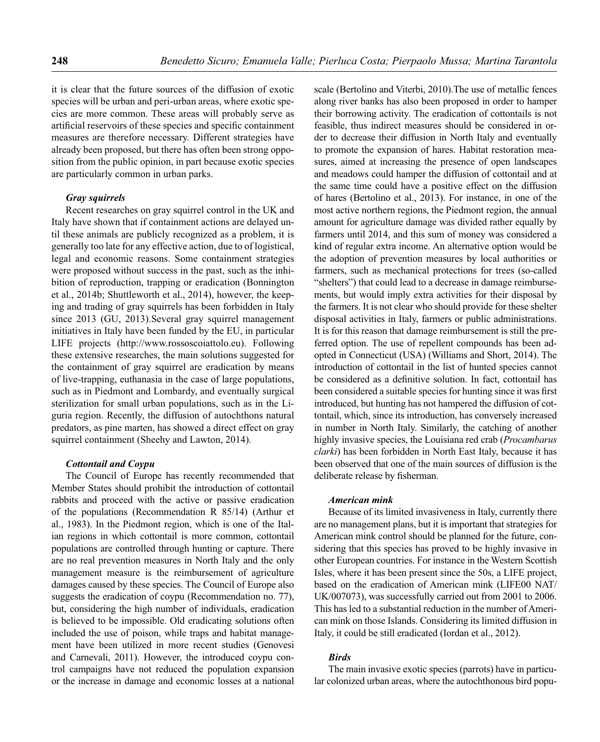it is clear that the future sources of the diffusion of exotic species will be urban and peri-urban areas, where exotic species are more common. These areas will probably serve as artificial reservoirs of these species and specific containment measures are therefore necessary. Different strategies have already been proposed, but there has often been strong opposition from the public opinion, in part because exotic species are particularly common in urban parks.

## *Gray squirrels*

Recent researches on gray squirrel control in the UK and Italy have shown that if containment actions are delayed until these animals are publicly recognized as a problem, it is generally too late for any effective action, due to of logistical, legal and economic reasons. Some containment strategies were proposed without success in the past, such as the inhibition of reproduction, trapping or eradication (Bonnington et al., 2014b; Shuttleworth et al., 2014), however, the keeping and trading of gray squirrels has been forbidden in Italy since 2013 (GU, 2013).Several gray squirrel management initiatives in Italy have been funded by the EU, in particular LIFE projects (http://www.rossoscoiattolo.eu). Following these extensive researches, the main solutions suggested for the containment of gray squirrel are eradication by means of live-trapping, euthanasia in the case of large populations, such as in Piedmont and Lombardy, and eventually surgical sterilization for small urban populations, such as in the Liguria region. Recently, the diffusion of autochthons natural predators, as pine marten, has showed a direct effect on gray squirrel containment (Sheehy and Lawton, 2014).

#### *Cottontail and Coypu*

The Council of Europe has recently recommended that Member States should prohibit the introduction of cottontail rabbits and proceed with the active or passive eradication of the populations (Recommendation R 85/14) (Arthur et al., 1983). In the Piedmont region, which is one of the Italian regions in which cottontail is more common, cottontail populations are controlled through hunting or capture. There are no real prevention measures in North Italy and the only management measure is the reimbursement of agriculture damages caused by these species. The Council of Europe also suggests the eradication of coypu (Recommendation no. 77), but, considering the high number of individuals, eradication is believed to be impossible. Old eradicating solutions often included the use of poison, while traps and habitat management have been utilized in more recent studies (Genovesi and Carnevali, 2011). However, the introduced coypu control campaigns have not reduced the population expansion or the increase in damage and economic losses at a national scale (Bertolino and Viterbi, 2010).The use of metallic fences along river banks has also been proposed in order to hamper their borrowing activity. The eradication of cottontails is not feasible, thus indirect measures should be considered in order to decrease their diffusion in North Italy and eventually to promote the expansion of hares. Habitat restoration measures, aimed at increasing the presence of open landscapes and meadows could hamper the diffusion of cottontail and at the same time could have a positive effect on the diffusion of hares (Bertolino et al., 2013). For instance, in one of the most active northern regions, the Piedmont region, the annual amount for agriculture damage was divided rather equally by farmers until 2014, and this sum of money was considered a kind of regular extra income. An alternative option would be the adoption of prevention measures by local authorities or farmers, such as mechanical protections for trees (so-called "shelters") that could lead to a decrease in damage reimbursements, but would imply extra activities for their disposal by the farmers. It is not clear who should provide for these shelter disposal activities in Italy, farmers or public administrations. It is for this reason that damage reimbursement is still the preferred option. The use of repellent compounds has been adopted in Connecticut (USA) (Williams and Short, 2014). The introduction of cottontail in the list of hunted species cannot be considered as a definitive solution. In fact, cottontail has been considered a suitable species for hunting since it was first introduced, but hunting has not hampered the diffusion of cottontail, which, since its introduction, has conversely increased in number in North Italy. Similarly, the catching of another highly invasive species, the Louisiana red crab (*Procambarus clarki*) has been forbidden in North East Italy, because it has been observed that one of the main sources of diffusion is the deliberate release by fisherman.

## *American mink*

Because of its limited invasiveness in Italy, currently there are no management plans, but it is important that strategies for American mink control should be planned for the future, considering that this species has proved to be highly invasive in other European countries. For instance in the Western Scottish Isles, where it has been present since the 50s, a LIFE project, based on the eradication of American mink (LIFE00 NAT/ UK/007073), was successfully carried out from 2001 to 2006. This has led to a substantial reduction in the number of American mink on those Islands. Considering its limited diffusion in Italy, it could be still eradicated (Iordan et al., 2012).

## *Birds*

The main invasive exotic species (parrots) have in particular colonized urban areas, where the autochthonous bird popu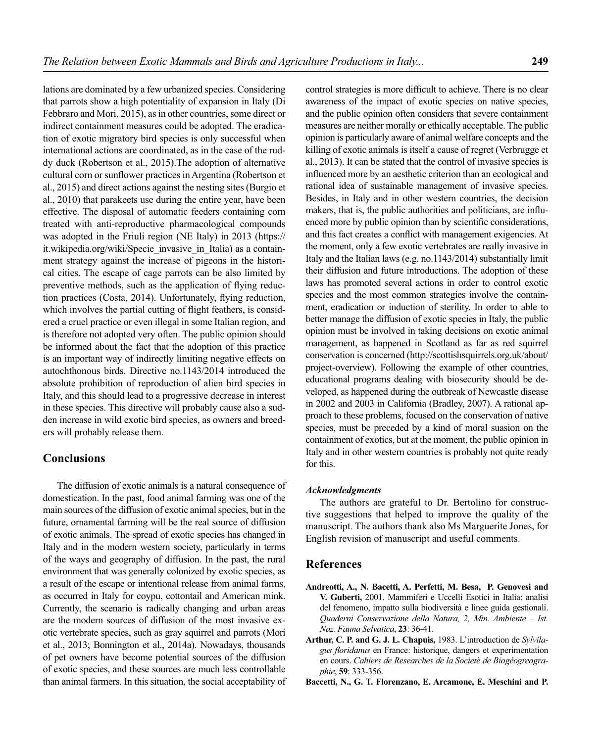lations are dominated by a few urbanized species. Considering that parrots show a high potentiality of expansion in Italy (Di Febbraro and Mori, 2015), as in other countries, some direct or indirect containment measures could be adopted. The eradication of exotic migratory bird species is only successful when international actions are coordinated, as in the case of the ruddy duck (Robertson et al., 2015).The adoption of alternative cultural corn or sunflower practices in Argentina (Robertson et al., 2015) and direct actions against the nesting sites (Burgio et al., 2010) that parakeets use during the entire year, have been effective. The disposal of automatic feeders containing corn treated with anti-reproductive pharmacological compounds was adopted in the Friuli region (NE Italy) in 2013 (https:// it.wikipedia.org/wiki/Specie\_invasive\_in\_Italia) as a containment strategy against the increase of pigeons in the historical cities. The escape of cage parrots can be also limited by preventive methods, such as the application of flying reduction practices (Costa, 2014). Unfortunately, flying reduction, which involves the partial cutting of flight feathers, is considered a cruel practice or even illegal in some Italian region, and is therefore not adopted very often. The public opinion should be informed about the fact that the adoption of this practice is an important way of indirectly limiting negative effects on autochthonous birds. Directive no.1143/2014 introduced the absolute prohibition of reproduction of alien bird species in Italy, and this should lead to a progressive decrease in interest in these species. This directive will probably cause also a sudden increase in wild exotic bird species, as owners and breeders will probably release them.

## **Conclusions**

The diffusion of exotic animals is a natural consequence of domestication. In the past, food animal farming was one of the main sources of the diffusion of exotic animal species, but in the future, ornamental farming will be the real source of diffusion of exotic animals. The spread of exotic species has changed in Italy and in the modern western society, particularly in terms of the ways and geography of diffusion. In the past, the rural environment that was generally colonized by exotic species, as a result of the escape or intentional release from animal farms, as occurred in Italy for coypu, cottontail and American mink. Currently, the scenario is radically changing and urban areas are the modern sources of diffusion of the most invasive exotic vertebrate species, such as gray squirrel and parrots (Mori et al., 2013; Bonnington et al., 2014a). Nowadays, thousands of pet owners have become potential sources of the diffusion of exotic species, and these sources are much less controllable than animal farmers. In this situation, the social acceptability of control strategies is more difficult to achieve. There is no clear awareness of the impact of exotic species on native species, and the public opinion often considers that severe containment measures are neither morally or ethically acceptable. The public opinion is particularly aware of animal welfare concepts and the killing of exotic animals is itself a cause of regret (Verbrugge et al., 2013). It can be stated that the control of invasive species is influenced more by an aesthetic criterion than an ecological and rational idea of sustainable management of invasive species. Besides, in Italy and in other western countries, the decision makers, that is, the public authorities and politicians, are influenced more by public opinion than by scientific considerations, and this fact creates a conflict with management exigencies. At the moment, only a few exotic vertebrates are really invasive in Italy and the Italian laws (e.g. no.1143/2014) substantially limit their diffusion and future introductions. The adoption of these laws has promoted several actions in order to control exotic species and the most common strategies involve the containment, eradication or induction of sterility. In order to able to better manage the diffusion of exotic species in Italy, the public opinion must be involved in taking decisions on exotic animal management, as happened in Scotland as far as red squirrel conservation is concerned (http://scottishsquirrels.org.uk/about/ project-overview). Following the example of other countries, educational programs dealing with biosecurity should be developed, as happened during the outbreak of Newcastle disease in 2002 and 2003 in California (Bradley, 2007). A rational approach to these problems, focused on the conservation of native species, must be preceded by a kind of moral suasion on the containment of exotics, but at the moment, the public opinion in Italy and in other western countries is probably not quite ready for this.

### *Acknowledgments*

The authors are grateful to Dr. Bertolino for constructive suggestions that helped to improve the quality of the manuscript. The authors thank also Ms Marguerite Jones, for English revision of manuscript and useful comments.

## **References**

- **Andreotti, A., N. Bacetti, A. Perfetti, M. Besa, P. Genovesi and V. Guberti,** 2001. Mammiferi e Uccelli Esotici in Italia: analisi del fenomeno, impatto sulla biodiversità e linee guida gestionali. *Quaderni Conservazione della Natura, 2, Min. Ambiente – Ist. Naz. Fauna Selvatica*, **23**: 36-41.
- **Arthur, C. P. and G. J. L. Chapuis,** 1983. L'introduction de *Sylvilagus fl oridanus* en France: historique, dangers et experimentation en cours. *Cahiers de Researches de la Societè de Biogéogreographie*, **59**: 333-356.
- **Baccetti, N., G. T. Florenzano, E. Arcamone, E. Meschini and P.**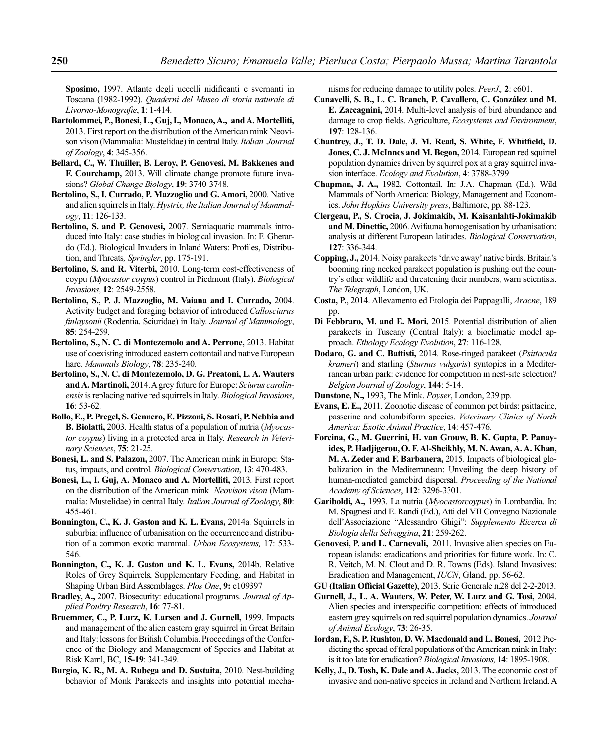Sposimo, 1997. Atlante degli uccelli nidificanti e svernanti in Toscana (1982-1992). *Quaderni del Museo di storia naturale di Livorno-Monografie*, 1: 1-414.

- **Bartolommei, P., Bonesi, L., Guj, I., Monaco, A., and A. Mortelliti,**  2013. First report on the distribution of the American mink Neovison vison (Mammalia: Mustelidae) in central Italy. *Italian Journal of Zoology*, **4**: 345-356.
- **Bellard, C., W. Thuiller, B. Leroy, P. Genovesi, M. Bakkenes and F. Courchamp,** 2013. Will climate change promote future invasions? *Global Change Biology*, **19**: 3740-3748.
- **Bertolino, S., I. Currado, P. Mazzoglio and G. Amori,** 2000. Native and alien squirrels in Italy. *Hystrix, the Italian Journal of Mammalogy*, **11**: 126-133.
- **Bertolino, S. and P. Genovesi,** 2007. Semiaquatic mammals introduced into Italy: case studies in biological invasion. In: F. Gherardo (Ed.). Biological Invaders in Inland Waters: Profiles, Distribution, and Threats*, Springler*, pp. 175-191.
- **Bertolino, S. and R. Viterbi,** 2010. Long-term cost-effectiveness of coypu (*Myocastor coypus*) control in Piedmont (Italy). *Biological Invasions*, **12**: 2549-2558.
- **Bertolino, S., P. J. Mazzoglio, M. Vaiana and I. Currado,** 2004. Activity budget and foraging behavior of introduced *Callosciurus fi nlaysonii* (Rodentia, Sciuridae) in Italy. *Journal of Mammology*, **85**: 254-259.
- **Bertolino, S., N. C. di Montezemolo and A. Perrone,** 2013. Habitat use of coexisting introduced eastern cottontail and native European hare. *Mammals Biology*, **78**: 235-240.
- **Bertolino, S., N. C. di Montezemolo, D. G. Preatoni, L. A. Wauters and A. Martinoli,** 2014. A grey future for Europe: *Sciurus carolinensis* is replacing native red squirrels in Italy. *Biological Invasions*, **16**: 53-62.
- **Bollo, E., P. Pregel, S. Gennero, E. Pizzoni, S. Rosati, P. Nebbia and B. Biolatti,** 2003. Health status of a population of nutria (*Myocastor coypus*) living in a protected area in Italy. *Research in Veterinary Sciences*, **75**: 21-25.
- **Bonesi, L. and S. Palazon,** 2007. The American mink in Europe: Status, impacts, and control. *Biological Conservation*, **13**: 470-483.
- **Bonesi, L., I. Guj, A. Monaco and A. Mortelliti,** 2013. First report on the distribution of the American mink *Neovison vison* (Mammalia: Mustelidae) in central Italy. *Italian Journal of Zoology*, **80**: 455-461.
- **Bonnington, C., K. J. Gaston and K. L. Evans,** 2014a. Squirrels in suburbia: influence of urbanisation on the occurrence and distribution of a common exotic mammal. *Urban Ecosystems,* 17: 533- 546.
- **Bonnington, C., K. J. Gaston and K. L. Evans,** 2014b. Relative Roles of Grey Squirrels, Supplementary Feeding, and Habitat in Shaping Urban Bird Assemblages. *Plos One*, **9:** e109397
- **Bradley, A.,** 2007. Biosecurity: educational programs. *Journal of Applied Poultry Research*, **16**: 77-81.
- **Bruemmer, C., P. Lurz, K. Larsen and J. Gurnell,** 1999. Impacts and management of the alien eastern gray squirrel in Great Britain and Italy: lessons for British Columbia. Proceedings of the Conference of the Biology and Management of Species and Habitat at Risk Kaml, BC, **15-19**: 341-349.
- **Burgio, K. R., M. A. Rubega and D. Sustaita,** 2010. Nest-building behavior of Monk Parakeets and insights into potential mecha-

nisms for reducing damage to utility poles. *PeerJ.,* **2**: e601.

- **Canavelli, S. B., L. C. Branch, P. Cavallero, C. González and M. E. Zaccagnini,** 2014. Multi-level analysis of bird abundance and damage to crop fields. Agriculture, *Ecosystems and Environment*, **197**: 128-136.
- Chantrey, J., T. D. Dale, J. M. Read, S. White, F. Whitfield, D. **Jones, C. J. McInnes and M. Begon,** 2014. European red squirrel population dynamics driven by squirrel pox at a gray squirrel invasion interface. *Ecology and Evolution*, **4**: 3788-3799
- **Chapman, J. A.,** 1982. Cottontail. In: J.A. Chapman (Ed.). Wild Mammals of North America: Biology, Management and Economics. *John Hopkins University press*, Baltimore, pp. 88-123.
- **Clergeau, P., S. Crocia, J. Jokimakib, M. Kaisanlahti-Jokimakib**  and M. Dinettic, 2006. Avifauna homogenisation by urbanisation: analysis at different European latitudes. *Biological Conservation*, **127**: 336-344.
- **Copping, J.,** 2014. Noisy parakeets 'drive away' native birds. Britain's booming ring necked parakeet population is pushing out the country's other wildlife and threatening their numbers, warn scientists. *The Telegraph*, London, UK.
- **Costa, P.**, 2014. Allevamento ed Etologia dei Pappagalli, *Aracne*, 189 pp.
- **Di Febbraro, M. and E. Mori,** 2015. Potential distribution of alien parakeets in Tuscany (Central Italy): a bioclimatic model approach. *Ethology Ecology Evolution*, **27**: 116-128.
- **Dodaro, G. and C. Battisti,** 2014. Rose-ringed parakeet (*Psittacula krameri*) and starling (*Sturnus vulgaris*) syntopics in a Mediterranean urban park: evidence for competition in nest-site selection? *Belgian Journal of Zoology*, **144**: 5-14.
- **Dunstone, N.,** 1993, The Mink. *Poyser*, London, 239 pp.
- **Evans, E. E.,** 2011. Zoonotic disease of common pet birds: psittacine, passerine and columbiform species. *Veterinary Clinics of North America: Exotic Animal Practice*, **14**: 457-476.
- **Forcina, G., M. Guerrini, H. van Grouw, B. K. Gupta, P. Panayides, P. Hadjigerou, O. F. Al-Sheikhly, M. N. Awan, A. A. Khan, M. A. Zeder and F. Barbanera,** 2015. Impacts of biological globalization in the Mediterranean: Unveiling the deep history of human-mediated gamebird dispersal. *Proceeding of the National Academy of Sciences*, **112**: 3296-3301.
- **Gariboldi, A.,** 1993. La nutria (*Myocastorcoypus*) in Lombardia. In: M. Spagnesi and E. Randi (Ed.), Atti del VII Convegno Nazionale dell'Associazione "Alessandro Ghigi": *Supplemento Ricerca di Biologia della Selvaggina*, **21**: 259-262.
- **Genovesi, P. and L. Carnevali,** 2011. Invasive alien species on European islands: eradications and priorities for future work. In: C. R. Veitch, M. N. Clout and D. R. Towns (Eds). Island Invasives: Eradication and Management, *IUCN*, Gland, pp. 56-62.
- **GU (Italian Official Gazette)**, 2013. Serie Generale n.28 del 2-2-2013.
- **Gurnell, J., L. A. Wauters, W. Peter, W. Lurz and G. Tosi,** 2004. Alien species and interspecific competition: effects of introduced eastern grey squirrels on red squirrel population dynamics. *Journal of Animal Ecology*, **73**: 26-35.
- **Iordan, F., S. P. Rushton, D. W. Macdonald and L. Bonesi,** 2012 Predicting the spread of feral populations of the American mink in Italy: is it too late for eradication? *Biological Invasions,* **14**: 1895-1908.
- **Kelly, J., D. Tosh, K. Dale and A. Jacks,** 2013. The economic cost of invasive and non-native species in Ireland and Northern Ireland. A